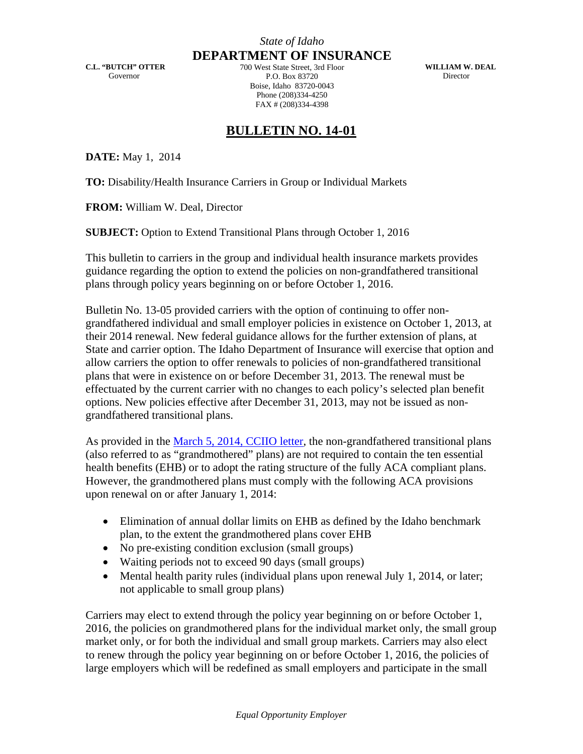**C.L. "BUTCH" OTTER**  Governor

*State of Idaho* **DEPARTMENT OF INSURANCE** 700 West State Street, 3rd Floor P.O. Box 83720 Boise, Idaho 83720-0043 Phone (208)334-4250

**WILLIAM W. DEAL**  Director

## **BULLETIN NO. 14-01**

FAX # (208)334-4398

**DATE:** May 1, 2014

**TO:** Disability/Health Insurance Carriers in Group or Individual Markets

**FROM:** William W. Deal, Director

**SUBJECT:** Option to Extend Transitional Plans through October 1, 2016

This bulletin to carriers in the group and individual health insurance markets provides guidance regarding the option to extend the policies on non-grandfathered transitional plans through policy years beginning on or before October 1, 2016.

Bulletin No. 13-05 provided carriers with the option of continuing to offer nongrandfathered individual and small employer policies in existence on October 1, 2013, at their 2014 renewal. New federal guidance allows for the further extension of plans, at State and carrier option. The Idaho Department of Insurance will exercise that option and allow carriers the option to offer renewals to policies of non-grandfathered transitional plans that were in existence on or before December 31, 2013. The renewal must be effectuated by the current carrier with no changes to each policy's selected plan benefit options. New policies effective after December 31, 2013, may not be issued as nongrandfathered transitional plans.

As provided in the [March 5, 2014, CCIIO letter,](http://www.cms.gov/CCIIO/Resources/Regulations-and-Guidance/Downloads/transition-to-compliant-policies-03-06-2015.pdf) the non-grandfathered transitional plans (also referred to as "grandmothered" plans) are not required to contain the ten essential health benefits (EHB) or to adopt the rating structure of the fully ACA compliant plans. However, the grandmothered plans must comply with the following ACA provisions upon renewal on or after January 1, 2014:

- Elimination of annual dollar limits on EHB as defined by the Idaho benchmark plan, to the extent the grandmothered plans cover EHB
- No pre-existing condition exclusion (small groups)
- Waiting periods not to exceed 90 days (small groups)
- Mental health parity rules (individual plans upon renewal July 1, 2014, or later; not applicable to small group plans)

Carriers may elect to extend through the policy year beginning on or before October 1, 2016, the policies on grandmothered plans for the individual market only, the small group market only, or for both the individual and small group markets. Carriers may also elect to renew through the policy year beginning on or before October 1, 2016, the policies of large employers which will be redefined as small employers and participate in the small